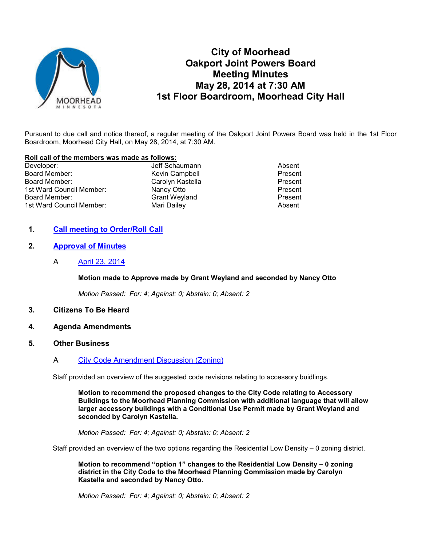

# **City of Moorhead Oakport Joint Powers Board Meeting Minutes May 28, 2014 at 7:30 AM 1st Floor Boardroom, Moorhead City Hall**

Pursuant to due call and notice thereof, a regular meeting of the Oakport Joint Powers Board was held in the 1st Floor Boardroom, Moorhead City Hall, on May 28, 2014, at 7:30 AM.

#### **Roll call of the members was made as follows:**

| Developer:               | Jeff Schaumann       | Absent  |
|--------------------------|----------------------|---------|
| Board Member:            | Kevin Campbell       | Present |
| Board Member:            | Carolyn Kastella     | Present |
| 1st Ward Council Member: | Nancy Otto           | Present |
| Board Member:            | <b>Grant Weyland</b> | Present |
| 1st Ward Council Member: | Mari Dailey          | Absent  |

### **1. Call meeting to Order/Roll Call**

## **2. Approval of Minutes**

A April 23, 2014

#### **Motion made to Approve made by Grant Weyland and seconded by Nancy Otto**

*Motion Passed: For: 4; Against: 0; Abstain: 0; Absent: 2* 

- **3. Citizens To Be Heard**
- **4. Agenda Amendments**
- **5. Other Business**
	- A City Code Amendment Discussion (Zoning)

Staff provided an overview of the suggested code revisions relating to accessory buidlings.

**Motion to recommend the proposed changes to the City Code relating to Accessory Buildings to the Moorhead Planning Commission with additional language that will allow larger accessory buildings with a Conditional Use Permit made by Grant Weyland and seconded by Carolyn Kastella.** 

*Motion Passed: For: 4; Against: 0; Abstain: 0; Absent: 2* 

Staff provided an overview of the two options regarding the Residential Low Density – 0 zoning district.

**Motion to recommend "option 1" changes to the Residential Low Density – 0 zoning district in the City Code to the Moorhead Planning Commission made by Carolyn Kastella and seconded by Nancy Otto.** 

*Motion Passed: For: 4; Against: 0; Abstain: 0; Absent: 2*